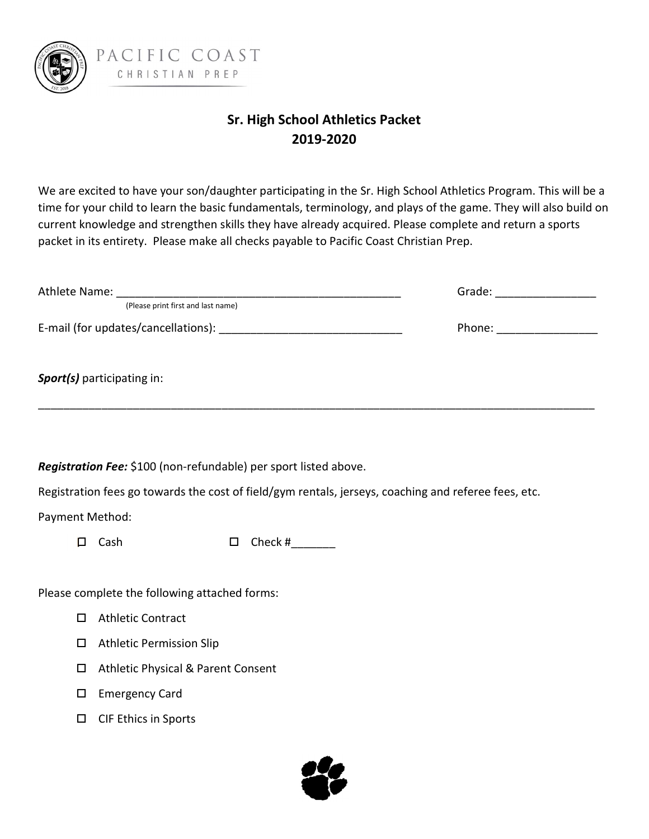

## Sr. High School Athletics Packet 2019-2020

We are excited to have your son/daughter participating in the Sr. High School Athletics Program. This will be a time for your child to learn the basic fundamentals, terminology, and plays of the game. They will also build on current knowledge and strengthen skills they have already acquired. Please complete and return a sports packet in its entirety. Please make all checks payable to Pacific Coast Christian Prep.

|                                               | (Please print first and last name)                               |        |                                                                                                      |  | Grade: ____________________ |  |
|-----------------------------------------------|------------------------------------------------------------------|--------|------------------------------------------------------------------------------------------------------|--|-----------------------------|--|
|                                               |                                                                  |        |                                                                                                      |  | Phone: __________________   |  |
|                                               |                                                                  |        |                                                                                                      |  |                             |  |
|                                               | Sport(s) participating in:                                       |        |                                                                                                      |  |                             |  |
|                                               |                                                                  |        |                                                                                                      |  |                             |  |
|                                               | Registration Fee: \$100 (non-refundable) per sport listed above. |        |                                                                                                      |  |                             |  |
|                                               |                                                                  |        | Registration fees go towards the cost of field/gym rentals, jerseys, coaching and referee fees, etc. |  |                             |  |
| Payment Method:                               |                                                                  |        |                                                                                                      |  |                             |  |
| $\Box$                                        | Cash                                                             | $\Box$ | Check # $\frac{1}{2}$                                                                                |  |                             |  |
|                                               |                                                                  |        |                                                                                                      |  |                             |  |
| Please complete the following attached forms: |                                                                  |        |                                                                                                      |  |                             |  |
| $\Box$                                        | <b>Athletic Contract</b>                                         |        |                                                                                                      |  |                             |  |
| □                                             | <b>Athletic Permission Slip</b>                                  |        |                                                                                                      |  |                             |  |
| $\Box$                                        | <b>Athletic Physical &amp; Parent Consent</b>                    |        |                                                                                                      |  |                             |  |
| □                                             | <b>Emergency Card</b>                                            |        |                                                                                                      |  |                             |  |
| □                                             | <b>CIF Ethics in Sports</b>                                      |        |                                                                                                      |  |                             |  |

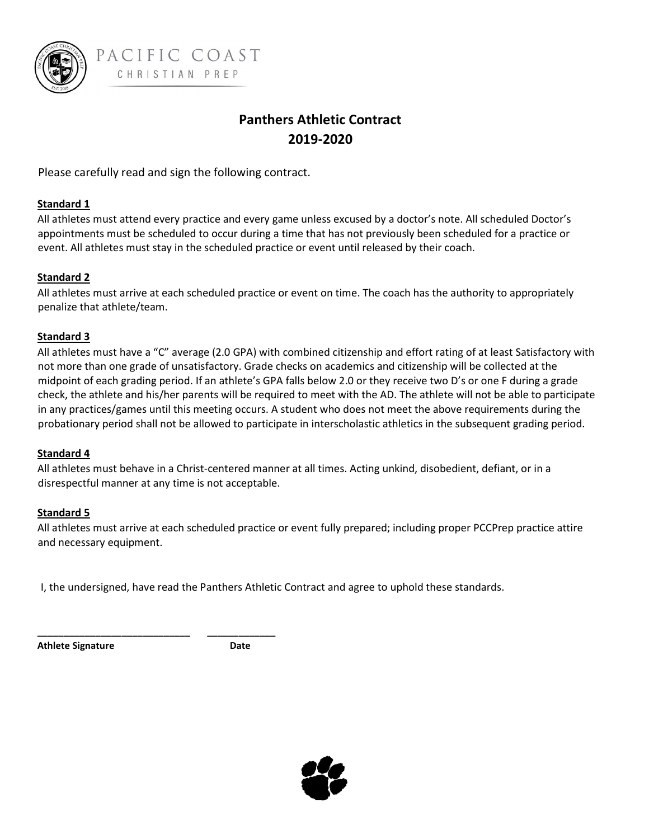

## Panthers Athletic Contract 2019-2020

Please carefully read and sign the following contract.

#### Standard 1

All athletes must attend every practice and every game unless excused by a doctor's note. All scheduled Doctor's appointments must be scheduled to occur during a time that has not previously been scheduled for a practice or event. All athletes must stay in the scheduled practice or event until released by their coach.

#### Standard 2

All athletes must arrive at each scheduled practice or event on time. The coach has the authority to appropriately penalize that athlete/team.

#### Standard 3

All athletes must have a "C" average (2.0 GPA) with combined citizenship and effort rating of at least Satisfactory with not more than one grade of unsatisfactory. Grade checks on academics and citizenship will be collected at the midpoint of each grading period. If an athlete's GPA falls below 2.0 or they receive two D's or one F during a grade check, the athlete and his/her parents will be required to meet with the AD. The athlete will not be able to participate in any practices/games until this meeting occurs. A student who does not meet the above requirements during the probationary period shall not be allowed to participate in interscholastic athletics in the subsequent grading period.

#### Standard 4

All athletes must behave in a Christ-centered manner at all times. Acting unkind, disobedient, defiant, or in a disrespectful manner at any time is not acceptable.

#### Standard 5

All athletes must arrive at each scheduled practice or event fully prepared; including proper PCCPrep practice attire and necessary equipment.

I, the undersigned, have read the Panthers Athletic Contract and agree to uphold these standards.

Athlete Signature **Date** 

\_\_\_\_\_\_\_\_\_\_\_\_\_\_\_\_\_\_\_\_\_\_\_\_\_\_\_\_\_ \_\_\_\_\_\_\_\_\_\_\_\_\_

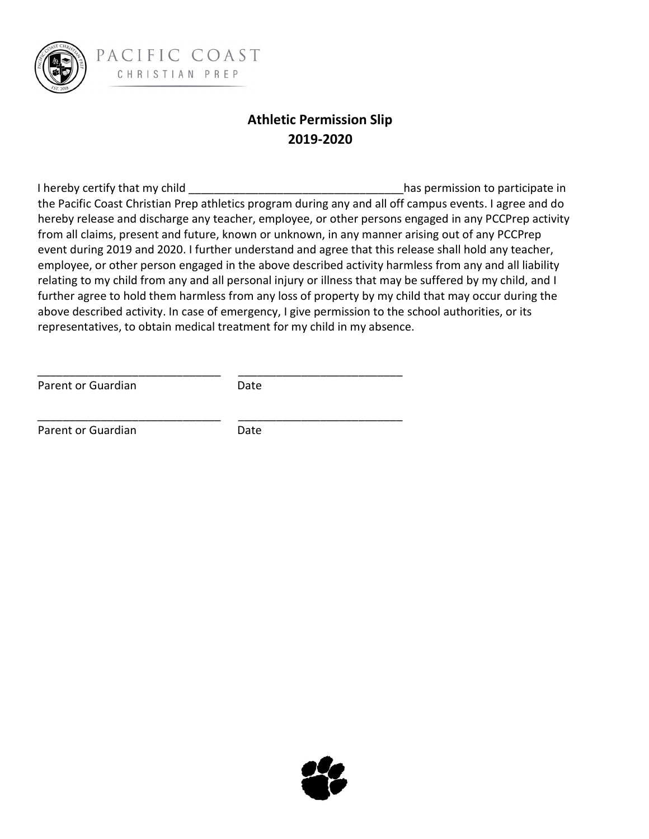

PACIFIC COAST CHRISTIAN PREP

## Athletic Permission Slip 2019-2020

I hereby certify that my child **Exercise 20** and the second to participate in the participate in the Pacific Coast Christian Prep athletics program during any and all off campus events. I agree and do hereby release and discharge any teacher, employee, or other persons engaged in any PCCPrep activity from all claims, present and future, known or unknown, in any manner arising out of any PCCPrep event during 2019 and 2020. I further understand and agree that this release shall hold any teacher, employee, or other person engaged in the above described activity harmless from any and all liability relating to my child from any and all personal injury or illness that may be suffered by my child, and I further agree to hold them harmless from any loss of property by my child that may occur during the above described activity. In case of emergency, I give permission to the school authorities, or its representatives, to obtain medical treatment for my child in my absence.

Parent or Guardian Date

\_\_\_\_\_\_\_\_\_\_\_\_\_\_\_\_\_\_\_\_\_\_\_\_\_\_\_\_\_ \_\_\_\_\_\_\_\_\_\_\_\_\_\_\_\_\_\_\_\_\_\_\_\_\_\_

\_\_\_\_\_\_\_\_\_\_\_\_\_\_\_\_\_\_\_\_\_\_\_\_\_\_\_\_\_ \_\_\_\_\_\_\_\_\_\_\_\_\_\_\_\_\_\_\_\_\_\_\_\_\_\_

Parent or Guardian Date

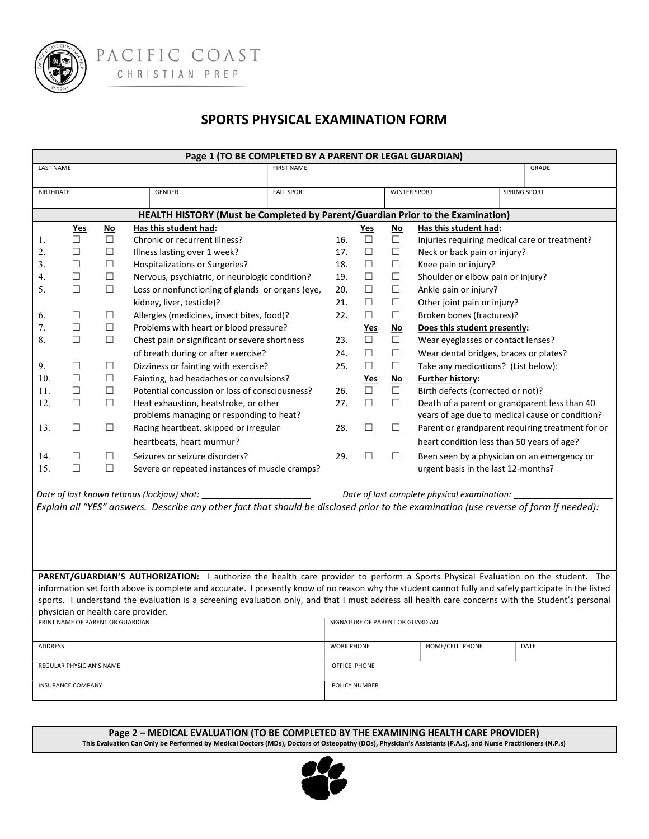

PACIFIC COAST CHRISTIAN PREP

### SPORTS PHYSICAL EXAMINATION FORM

| Page 1 (TO BE COMPLETED BY A PARENT OR LEGAL GUARDIAN)                         |                                    |        |                                                                                                                                                       |                   |                                              |            |           |                                             |                                                  |  |
|--------------------------------------------------------------------------------|------------------------------------|--------|-------------------------------------------------------------------------------------------------------------------------------------------------------|-------------------|----------------------------------------------|------------|-----------|---------------------------------------------|--------------------------------------------------|--|
| <b>LAST NAME</b>                                                               |                                    |        |                                                                                                                                                       | <b>FIRST NAME</b> |                                              |            |           |                                             | GRADE                                            |  |
|                                                                                |                                    |        |                                                                                                                                                       |                   |                                              |            |           |                                             |                                                  |  |
| <b>BIRTHDATE</b>                                                               |                                    |        | GENDER                                                                                                                                                | <b>FALL SPORT</b> |                                              |            |           | <b>WINTER SPORT</b>                         | SPRING SPORT                                     |  |
| HEALTH HISTORY (Must be Completed by Parent/Guardian Prior to the Examination) |                                    |        |                                                                                                                                                       |                   |                                              |            |           |                                             |                                                  |  |
|                                                                                | <b>Yes</b>                         | $No$   | Has this student had:                                                                                                                                 |                   |                                              | <u>Yes</u> | $No$      | Has this student had:                       |                                                  |  |
| 1.                                                                             | П                                  | $\Box$ | Chronic or recurrent illness?                                                                                                                         |                   | 16.                                          | $\Box$     | $\Box$    |                                             | Injuries requiring medical care or treatment?    |  |
| 2.                                                                             | $\Box$                             | $\Box$ | Illness lasting over 1 week?                                                                                                                          |                   | 17.                                          | $\Box$     | $\Box$    | Neck or back pain or injury?                |                                                  |  |
| 3.                                                                             | $\Box$                             | $\Box$ | Hospitalizations or Surgeries?                                                                                                                        |                   | 18.                                          | □          | $\Box$    | Knee pain or injury?                        |                                                  |  |
| 4.                                                                             | $\Box$                             | $\Box$ | Nervous, psychiatric, or neurologic condition?                                                                                                        |                   | 19.                                          | $\Box$     | $\Box$    | Shoulder or elbow pain or injury?           |                                                  |  |
| 5.                                                                             | $\Box$                             | $\Box$ | Loss or nonfunctioning of glands or organs (eye,                                                                                                      |                   | 20.                                          | $\Box$     | $\Box$    | Ankle pain or injury?                       |                                                  |  |
|                                                                                |                                    |        | kidney, liver, testicle)?                                                                                                                             |                   | 21.                                          | $\Box$     | $\Box$    | Other joint pain or injury?                 |                                                  |  |
| 6.                                                                             | □                                  | $\Box$ | Allergies (medicines, insect bites, food)?                                                                                                            |                   | 22.                                          | $\Box$     | $\Box$    | Broken bones (fractures)?                   |                                                  |  |
| 7.                                                                             | $\Box$                             | $\Box$ | Problems with heart or blood pressure?                                                                                                                |                   |                                              | <u>Yes</u> | <u>No</u> | Does this student presently:                |                                                  |  |
| 8.                                                                             | $\Box$                             | $\Box$ | Chest pain or significant or severe shortness                                                                                                         |                   | 23.                                          | $\Box$     | $\Box$    | Wear eyeglasses or contact lenses?          |                                                  |  |
|                                                                                |                                    |        | of breath during or after exercise?                                                                                                                   |                   | 24.                                          | $\Box$     | $\Box$    | Wear dental bridges, braces or plates?      |                                                  |  |
| 9.                                                                             | □                                  | $\Box$ | Dizziness or fainting with exercise?                                                                                                                  |                   | 25.                                          | $\Box$     | $\Box$    | Take any medications? (List below):         |                                                  |  |
| 10.                                                                            | $\Box$                             | $\Box$ | Fainting, bad headaches or convulsions?                                                                                                               |                   |                                              | <u>Yes</u> | <u>No</u> | <b>Further history:</b>                     |                                                  |  |
| 11.                                                                            | $\Box$                             | $\Box$ | Potential concussion or loss of consciousness?                                                                                                        |                   | 26.                                          | $\Box$     | $\Box$    | Birth defects (corrected or not)?           |                                                  |  |
| 12.                                                                            | $\Box$                             | $\Box$ | Heat exhaustion, heatstroke, or other                                                                                                                 |                   | 27.                                          | □          | $\Box$    |                                             | Death of a parent or grandparent less than 40    |  |
|                                                                                |                                    |        | problems managing or responding to heat?                                                                                                              |                   |                                              |            |           |                                             | years of age due to medical cause or condition?  |  |
| 13.                                                                            | $\Box$                             | $\Box$ | Racing heartbeat, skipped or irregular                                                                                                                |                   | 28.                                          | $\Box$     | $\Box$    |                                             | Parent or grandparent requiring treatment for or |  |
|                                                                                |                                    |        | heartbeats, heart murmur?                                                                                                                             |                   |                                              |            |           | heart condition less than 50 years of age?  |                                                  |  |
| 14.                                                                            | $\Box$                             | $\Box$ | Seizures or seizure disorders?                                                                                                                        |                   | 29.                                          | □          | $\Box$    |                                             | Been seen by a physician on an emergency or      |  |
| 15.                                                                            | $\Box$                             | $\Box$ | Severe or repeated instances of muscle cramps?                                                                                                        |                   |                                              |            |           | urgent basis in the last 12-months?         |                                                  |  |
|                                                                                |                                    |        |                                                                                                                                                       |                   |                                              |            |           |                                             |                                                  |  |
| Date of last known tetanus (lockjaw) shot:                                     |                                    |        |                                                                                                                                                       |                   |                                              |            |           | Date of last complete physical examination: |                                                  |  |
|                                                                                |                                    |        | Explain all "YES" answers. Describe any other fact that should be disclosed prior to the examination (use reverse of form if needed):                 |                   |                                              |            |           |                                             |                                                  |  |
|                                                                                |                                    |        |                                                                                                                                                       |                   |                                              |            |           |                                             |                                                  |  |
|                                                                                |                                    |        |                                                                                                                                                       |                   |                                              |            |           |                                             |                                                  |  |
|                                                                                |                                    |        |                                                                                                                                                       |                   |                                              |            |           |                                             |                                                  |  |
|                                                                                |                                    |        |                                                                                                                                                       |                   |                                              |            |           |                                             |                                                  |  |
|                                                                                |                                    |        | PARENT/GUARDIAN'S AUTHORIZATION: I authorize the health care provider to perform a Sports Physical Evaluation on the student. The                     |                   |                                              |            |           |                                             |                                                  |  |
|                                                                                |                                    |        | information set forth above is complete and accurate. I presently know of no reason why the student cannot fully and safely participate in the listed |                   |                                              |            |           |                                             |                                                  |  |
|                                                                                |                                    |        | sports. I understand the evaluation is a screening evaluation only, and that I must address all health care concerns with the Student's personal      |                   |                                              |            |           |                                             |                                                  |  |
|                                                                                | physician or health care provider. |        |                                                                                                                                                       |                   |                                              |            |           |                                             |                                                  |  |
| PRINT NAME OF PARENT OR GUARDIAN<br>SIGNATURE OF PARENT OR GUARDIAN            |                                    |        |                                                                                                                                                       |                   |                                              |            |           |                                             |                                                  |  |
| ADDRESS                                                                        |                                    |        |                                                                                                                                                       |                   | HOME/CELL PHONE<br><b>WORK PHONE</b><br>DATE |            |           |                                             |                                                  |  |
| REGULAR PHYSICIAN'S NAME                                                       |                                    |        |                                                                                                                                                       |                   | OFFICE PHONE                                 |            |           |                                             |                                                  |  |
|                                                                                |                                    |        |                                                                                                                                                       |                   |                                              |            |           |                                             |                                                  |  |
| <b>INSURANCE COMPANY</b>                                                       |                                    |        |                                                                                                                                                       |                   | POLICY NUMBER                                |            |           |                                             |                                                  |  |
|                                                                                |                                    |        |                                                                                                                                                       |                   |                                              |            |           |                                             |                                                  |  |

Page 2 – MEDICAL EVALUATION (TO BE COMPLETED BY THE EXAMINING HEALTH CARE PROVIDER) This Evaluation Can Only be Performed by Medical Doctors (MDs), Doctors of Osteopathy (DOs), Physician's Assistants (P.A.s), and Nurse Practitioners (N.P.s)

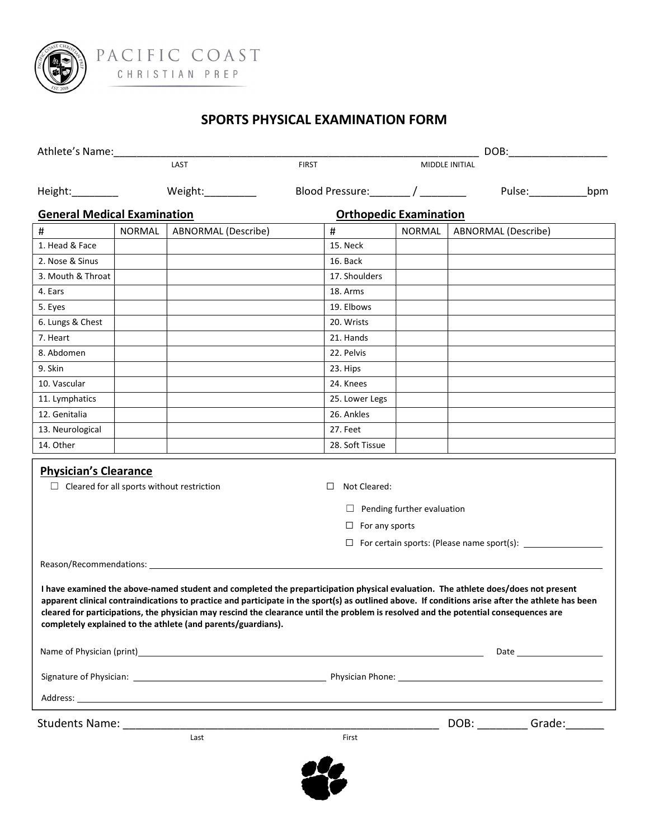

### SPORTS PHYSICAL EXAMINATION FORM

| Athlete's Name:                                                                                                                                                                                                                                                                                                                                                                                                                                                                                |        |                     |                                                 | DOB:                              |                     |                                                                                                                                                                                                                                |     |  |
|------------------------------------------------------------------------------------------------------------------------------------------------------------------------------------------------------------------------------------------------------------------------------------------------------------------------------------------------------------------------------------------------------------------------------------------------------------------------------------------------|--------|---------------------|-------------------------------------------------|-----------------------------------|---------------------|--------------------------------------------------------------------------------------------------------------------------------------------------------------------------------------------------------------------------------|-----|--|
|                                                                                                                                                                                                                                                                                                                                                                                                                                                                                                |        | LAST                | <b>FIRST</b>                                    |                                   | MIDDLE INITIAL      |                                                                                                                                                                                                                                |     |  |
| Height:_________                                                                                                                                                                                                                                                                                                                                                                                                                                                                               |        | Weight:__________   | Blood Pressure: / _______ / _______             |                                   |                     | Pulse:____________                                                                                                                                                                                                             | bpm |  |
| <b>General Medical Examination</b>                                                                                                                                                                                                                                                                                                                                                                                                                                                             |        |                     | <b>Orthopedic Examination</b>                   |                                   |                     |                                                                                                                                                                                                                                |     |  |
| #                                                                                                                                                                                                                                                                                                                                                                                                                                                                                              | NORMAL | ABNORMAL (Describe) | $\#$                                            | NORMAL                            | ABNORMAL (Describe) |                                                                                                                                                                                                                                |     |  |
| 1. Head & Face                                                                                                                                                                                                                                                                                                                                                                                                                                                                                 |        |                     | 15. Neck                                        |                                   |                     |                                                                                                                                                                                                                                |     |  |
| 2. Nose & Sinus                                                                                                                                                                                                                                                                                                                                                                                                                                                                                |        |                     | 16. Back                                        |                                   |                     |                                                                                                                                                                                                                                |     |  |
| 3. Mouth & Throat                                                                                                                                                                                                                                                                                                                                                                                                                                                                              |        |                     | 17. Shoulders                                   |                                   |                     |                                                                                                                                                                                                                                |     |  |
| 4. Ears                                                                                                                                                                                                                                                                                                                                                                                                                                                                                        |        |                     | 18. Arms                                        |                                   |                     |                                                                                                                                                                                                                                |     |  |
| 5. Eyes                                                                                                                                                                                                                                                                                                                                                                                                                                                                                        |        |                     | 19. Elbows                                      |                                   |                     |                                                                                                                                                                                                                                |     |  |
| 6. Lungs & Chest                                                                                                                                                                                                                                                                                                                                                                                                                                                                               |        |                     | 20. Wrists                                      |                                   |                     |                                                                                                                                                                                                                                |     |  |
| 7. Heart                                                                                                                                                                                                                                                                                                                                                                                                                                                                                       |        |                     | 21. Hands                                       |                                   |                     |                                                                                                                                                                                                                                |     |  |
| 8. Abdomen                                                                                                                                                                                                                                                                                                                                                                                                                                                                                     |        |                     | 22. Pelvis                                      |                                   |                     |                                                                                                                                                                                                                                |     |  |
| 9. Skin                                                                                                                                                                                                                                                                                                                                                                                                                                                                                        |        |                     | 23. Hips                                        |                                   |                     |                                                                                                                                                                                                                                |     |  |
| 10. Vascular                                                                                                                                                                                                                                                                                                                                                                                                                                                                                   |        |                     | 24. Knees                                       |                                   |                     |                                                                                                                                                                                                                                |     |  |
| 11. Lymphatics                                                                                                                                                                                                                                                                                                                                                                                                                                                                                 |        |                     | 25. Lower Legs                                  |                                   |                     |                                                                                                                                                                                                                                |     |  |
| 12. Genitalia                                                                                                                                                                                                                                                                                                                                                                                                                                                                                  |        |                     | 26. Ankles                                      |                                   |                     |                                                                                                                                                                                                                                |     |  |
| 13. Neurological                                                                                                                                                                                                                                                                                                                                                                                                                                                                               |        |                     | 27. Feet                                        |                                   |                     |                                                                                                                                                                                                                                |     |  |
| 14. Other                                                                                                                                                                                                                                                                                                                                                                                                                                                                                      |        |                     | 28. Soft Tissue                                 |                                   |                     |                                                                                                                                                                                                                                |     |  |
| <b>Physician's Clearance</b><br>$\Box$ Cleared for all sports without restriction                                                                                                                                                                                                                                                                                                                                                                                                              |        |                     | Not Cleared:<br>$\Box$<br>$\Box$ For any sports | $\Box$ Pending further evaluation |                     |                                                                                                                                                                                                                                |     |  |
|                                                                                                                                                                                                                                                                                                                                                                                                                                                                                                |        |                     |                                                 |                                   |                     | □ For certain sports: (Please name sport(s): ___________________________________                                                                                                                                               |     |  |
| I have examined the above-named student and completed the preparticipation physical evaluation. The athlete does/does not present<br>apparent clinical contraindications to practice and participate in the sport(s) as outlined above. If conditions arise after the athlete has been<br>cleared for participations, the physician may rescind the clearance until the problem is resolved and the potential consequences are<br>completely explained to the athlete (and parents/guardians). |        |                     |                                                 |                                   |                     |                                                                                                                                                                                                                                |     |  |
|                                                                                                                                                                                                                                                                                                                                                                                                                                                                                                |        |                     |                                                 |                                   |                     |                                                                                                                                                                                                                                |     |  |
|                                                                                                                                                                                                                                                                                                                                                                                                                                                                                                |        |                     |                                                 |                                   |                     |                                                                                                                                                                                                                                |     |  |
|                                                                                                                                                                                                                                                                                                                                                                                                                                                                                                |        |                     |                                                 |                                   |                     |                                                                                                                                                                                                                                |     |  |
|                                                                                                                                                                                                                                                                                                                                                                                                                                                                                                |        |                     |                                                 |                                   |                     | DOB: Grade: Capabon Contract Contract Contract Contract Contract Contract Contract Contract Contract Contract Contract Contract Contract Contract Contract Contract Contract Contract Contract Contract Contract Contract Cont |     |  |
|                                                                                                                                                                                                                                                                                                                                                                                                                                                                                                |        | Last                | First                                           |                                   |                     |                                                                                                                                                                                                                                |     |  |
|                                                                                                                                                                                                                                                                                                                                                                                                                                                                                                |        |                     |                                                 |                                   |                     |                                                                                                                                                                                                                                |     |  |